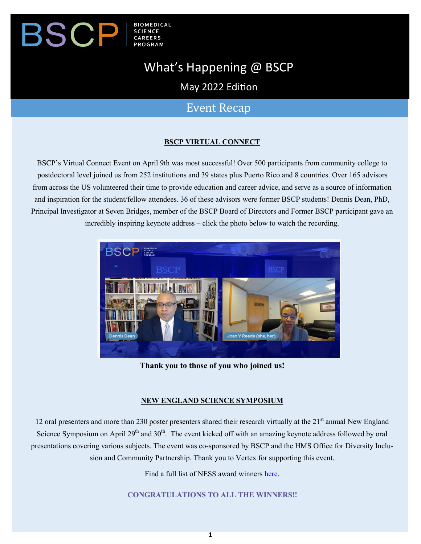#### **BIOMEDICAL** SCP  $\bm{\mathsf{B}}$ **SCIENCE**

# What's Happening @ BSCP

May 2022 Edition

## Event Recap

## **BSCP VIRTUAL CONNECT**

BSCP's Virtual Connect Event on April 9th was most successful! Over 500 participants from community college to postdoctoral level joined us from 252 institutions and 39 states plus Puerto Rico and 8 countries. Over 165 advisors from across the US volunteered their time to provide education and career advice, and serve as a source of information and inspiration for the student/fellow attendees. 36 of these advisors were former BSCP students! Dennis Dean, PhD, Principal Investigator at Seven Bridges, member of the BSCP Board of Directors and Former BSCP participant gave an incredibly inspiring keynote address – click the photo below to watch the recording.



**Thank you to those of you who joined us!**

## **NEW ENGLAND SCIENCE SYMPOSIUM**

12 oral presenters and more than 230 poster presenters shared their research virtually at the 21<sup>st</sup> annual New England Science Symposium on April 29<sup>th</sup> and 30<sup>th</sup>. The event kicked off with an amazing keynote address followed by oral presentations covering various subjects. The event was co-sponsored by BSCP and the HMS Office for Diversity Inclusion and Community Partnership. Thank you to Vertex for supporting this event.

Find a full list of NESS award winners [here.](https://www.bscp.org/newenglad_science_symposium_2022_award_winniers/)

**CONGRATULATIONS TO ALL THE WINNERS!!**